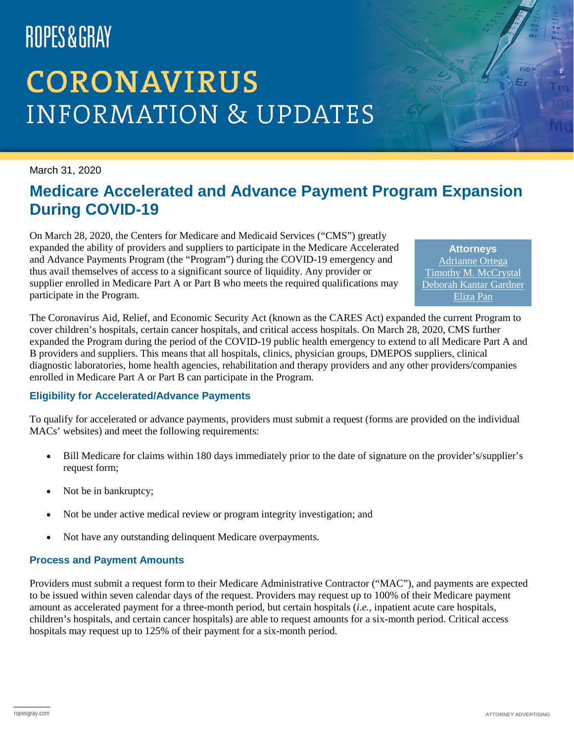# ROPES&GRAY

# **CORONAVIRUS INFORMATION & UPDATES**

March 31, 2020

### **Medicare Accelerated and Advance Payment Program Expansion During COVID-19**

On March 28, 2020, the Centers for Medicare and Medicaid Services ("CMS") greatly expanded the ability of providers and suppliers to participate in the Medicare Accelerated and Advance Payments Program (the "Program") during the COVID-19 emergency and thus avail themselves of access to a significant source of liquidity. Any provider or supplier enrolled in Medicare Part A or Part B who meets the required qualifications may participate in the Program.

**Attorneys** [Adrianne Ortega](https://www.ropesgray.com/en/biographies/o/adrianne-ortega) [Timothy M. McCrystal](https://www.ropesgray.com/en/biographies/m/timothy-m-mccrystal) [Deborah Kantar Gardner](https://www.ropesgray.com/en/biographies/g/deborah-kantar-gardner) [Eliza Pan](https://www.ropesgray.com/en/biographies/p/eliza-pan)

The Coronavirus Aid, Relief, and Economic Security Act (known as the CARES Act) expanded the current Program to cover children's hospitals, certain cancer hospitals, and critical access hospitals. On March 28, 2020, CMS further expanded the Program during the period of the COVID-19 public health emergency to extend to all Medicare Part A and B providers and suppliers. This means that all hospitals, clinics, physician groups, DMEPOS suppliers, clinical diagnostic laboratories, home health agencies, rehabilitation and therapy providers and any other providers/companies enrolled in Medicare Part A or Part B can participate in the Program.

#### **Eligibility for Accelerated/Advance Payments**

To qualify for accelerated or advance payments, providers must submit a request (forms are provided on the individual MACs' websites) and meet the following requirements:

- Bill Medicare for claims within 180 days immediately prior to the date of signature on the provider's/supplier's request form;
- Not be in bankruptcy;
- Not be under active medical review or program integrity investigation; and
- Not have any outstanding delinquent Medicare overpayments.

#### **Process and Payment Amounts**

Providers must submit a request form to their Medicare Administrative Contractor ("MAC"), and payments are expected to be issued within seven calendar days of the request. Providers may request up to 100% of their Medicare payment amount as accelerated payment for a three-month period, but certain hospitals (*i.e.*, inpatient acute care hospitals, children's hospitals, and certain cancer hospitals) are able to request amounts for a six-month period. Critical access hospitals may request up to 125% of their payment for a six-month period.